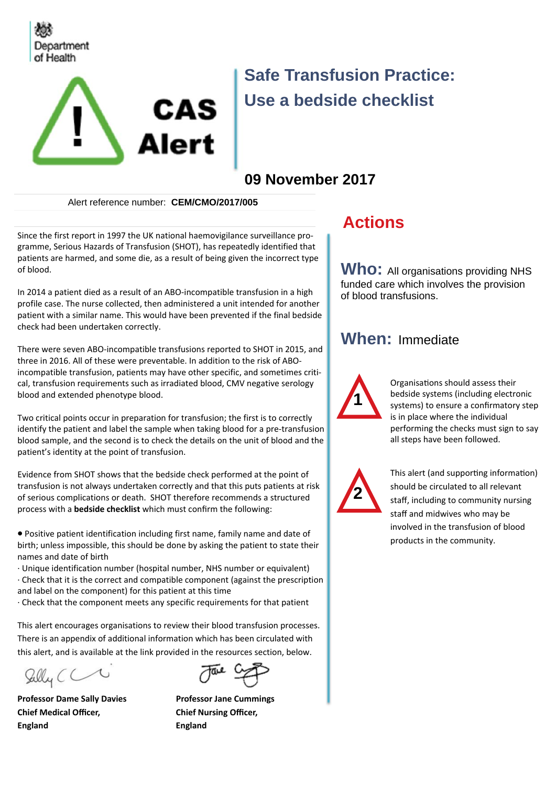



# **Safe Transfusion Practice: Use a bedside checklist**

## **09 November 2017**

Alert reference number: **CEM/CMO/2017/005** 

Since the first report in 1997 the UK national haemovigilance surveillance programme, Serious Hazards of Transfusion (SHOT), has repeatedly identified that patients are harmed, and some die, as a result of being given the incorrect type of blood.

In 2014 a patient died as a result of an ABO-incompatible transfusion in a high profile case. The nurse collected, then administered a unit intended for another patient with a similar name. This would have been prevented if the final bedside check had been undertaken correctly.

There were seven ABO-incompatible transfusions reported to SHOT in 2015, and three in 2016. All of these were preventable. In addition to the risk of ABOincompatible transfusion, patients may have other specific, and sometimes critical, transfusion requirements such as irradiated blood, CMV negative serology blood and extended phenotype blood.

Two critical points occur in preparation for transfusion; the first is to correctly identify the patient and label the sample when taking blood for a pre-transfusion blood sample, and the second is to check the details on the unit of blood and the patient's identity at the point of transfusion.

Evidence from SHOT shows that the bedside check performed at the point of transfusion is not always undertaken correctly and that this puts patients at risk of serious complications or death. SHOT therefore recommends a structured process with a **bedside checklist** which must confirm the following:

 Positive patient identification including first name, family name and date of birth; unless impossible, this should be done by asking the patient to state their names and date of birth

· Unique identification number (hospital number, NHS number or equivalent)

· Check that it is the correct and compatible component (against the prescription and label on the component) for this patient at this time

· Check that the component meets any specific requirements for that patient

This alert encourages organisations to review their blood transfusion processes. There is an appendix of additional information which has been circulated with this alert, and is available at the link provided in the resources section, below.

Sully CC

**Chief Medical Officer, Chief Nursing Officer, England England** 



**Professor Dame Sally Davies <b>Professor Jane Cummings** 

## **Actions**

**Who:** All organisations providing NHS funded care which involves the provision of blood transfusions.

### **When:** Immediate



Organisations should assess their bedside systems (including electronic systems) to ensure a confirmatory step is in place where the individual performing the checks must sign to say all steps have been followed.



This alert (and supporting information) should be circulated to all relevant staff, including to community nursing staff and midwives who may be involved in the transfusion of blood products in the community.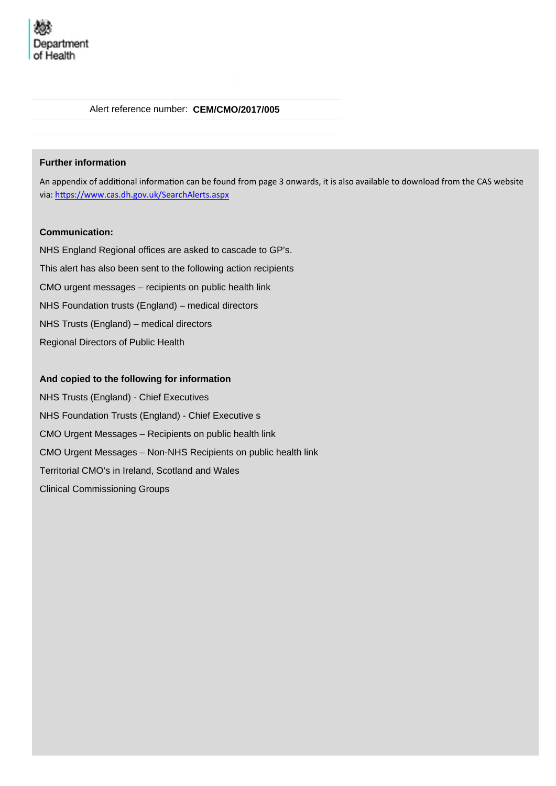#### Alert reference number: **CEM/CMO/2017/005**

#### **Further information**

An appendix of additional information can be found from page 3 onwards, it is also available to download from the CAS website via: https://www.cas.dh.gov.uk/SearchAlerts.aspx

#### **Communication:**

NHS England Regional offices are asked to cascade to GP's. This alert has also been sent to the following action recipients CMO urgent messages – recipients on public health link NHS Foundation trusts (England) – medical directors NHS Trusts (England) – medical directors Regional Directors of Public Health

#### **And copied to the following for information**

NHS Trusts (England) - Chief Executives NHS Foundation Trusts (England) - Chief Executive s CMO Urgent Messages – Recipients on public health link CMO Urgent Messages – Non-NHS Recipients on public health link Territorial CMO's in Ireland, Scotland and Wales Clinical Commissioning Groups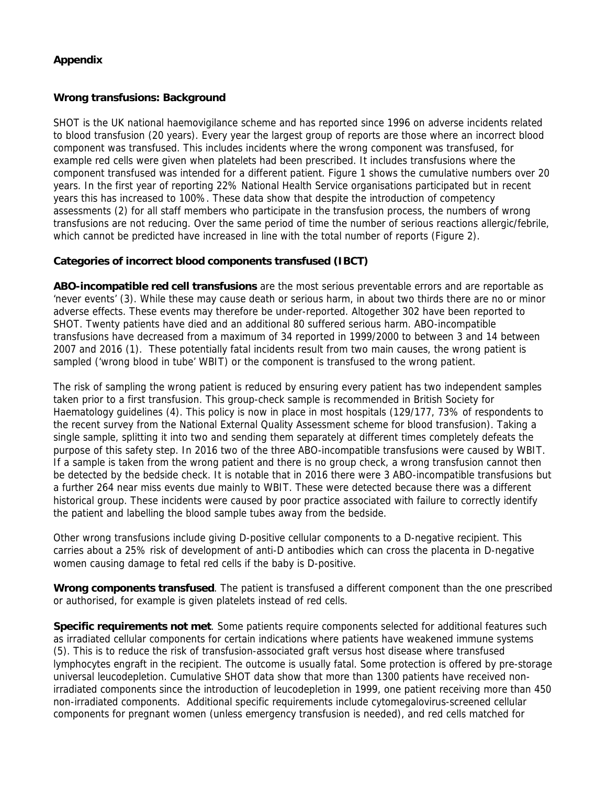#### **Appendix**

#### **Wrong transfusions: Background**

SHOT is the UK national haemovigilance scheme and has reported since 1996 on adverse incidents related to blood transfusion (20 years). Every year the largest group of reports are those where an incorrect blood component was transfused. This includes incidents where the wrong component was transfused, for example red cells were given when platelets had been prescribed. It includes transfusions where the component transfused was intended for a different patient. Figure 1 shows the cumulative numbers over 20 years. In the first year of reporting 22% National Health Service organisations participated but in recent years this has increased to 100%. These data show that despite the introduction of competency assessments (2) for all staff members who participate in the transfusion process, the numbers of wrong transfusions are not reducing. Over the same period of time the number of serious reactions allergic/febrile, which cannot be predicted have increased in line with the total number of reports (Figure 2).

#### **Categories of incorrect blood components transfused (IBCT)**

**ABO-incompatible red cell transfusions** are the most serious preventable errors and are reportable as 'never events' (3). While these may cause death or serious harm, in about two thirds there are no or minor adverse effects. These events may therefore be under-reported. Altogether 302 have been reported to SHOT. Twenty patients have died and an additional 80 suffered serious harm. ABO-incompatible transfusions have decreased from a maximum of 34 reported in 1999/2000 to between 3 and 14 between 2007 and 2016 (1). These potentially fatal incidents result from two main causes, the wrong patient is sampled ('wrong blood in tube' WBIT) or the component is transfused to the wrong patient.

The risk of sampling the wrong patient is reduced by ensuring every patient has two independent samples taken prior to a first transfusion. This group-check sample is recommended in British Society for Haematology guidelines (4). This policy is now in place in most hospitals (129/177, 73% of respondents to the recent survey from the National External Quality Assessment scheme for blood transfusion). Taking a single sample, splitting it into two and sending them separately at different times completely defeats the purpose of this safety step. In 2016 two of the three ABO-incompatible transfusions were caused by WBIT. If a sample is taken from the wrong patient and there is no group check, a wrong transfusion cannot then be detected by the bedside check. It is notable that in 2016 there were 3 ABO-incompatible transfusions but a further 264 near miss events due mainly to WBIT. These were detected because there was a different historical group. These incidents were caused by poor practice associated with failure to correctly identify the patient and labelling the blood sample tubes away from the bedside.

Other wrong transfusions include giving D-positive cellular components to a D-negative recipient. This carries about a 25% risk of development of anti-D antibodies which can cross the placenta in D-negative women causing damage to fetal red cells if the baby is D-positive.

**Wrong components transfused**. The patient is transfused a different component than the one prescribed or authorised, for example is given platelets instead of red cells.

**Specific requirements not met**. Some patients require components selected for additional features such as irradiated cellular components for certain indications where patients have weakened immune systems (5). This is to reduce the risk of transfusion-associated graft versus host disease where transfused lymphocytes engraft in the recipient. The outcome is usually fatal. Some protection is offered by pre-storage universal leucodepletion. Cumulative SHOT data show that more than 1300 patients have received nonirradiated components since the introduction of leucodepletion in 1999, one patient receiving more than 450 non-irradiated components. Additional specific requirements include cytomegalovirus-screened cellular components for pregnant women (unless emergency transfusion is needed), and red cells matched for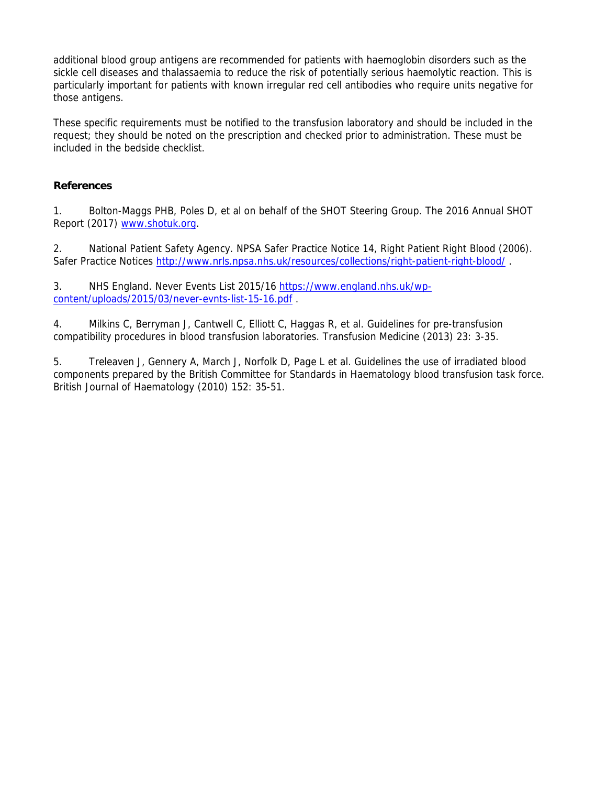additional blood group antigens are recommended for patients with haemoglobin disorders such as the sickle cell diseases and thalassaemia to reduce the risk of potentially serious haemolytic reaction. This is particularly important for patients with known irregular red cell antibodies who require units negative for those antigens.

These specific requirements must be notified to the transfusion laboratory and should be included in the request; they should be noted on the prescription and checked prior to administration. These must be included in the bedside checklist.

#### **References**

1. Bolton-Maggs PHB, Poles D, et al on behalf of the SHOT Steering Group. The 2016 Annual SHOT Report (2017) www.shotuk.org.

2. National Patient Safety Agency. NPSA Safer Practice Notice 14, Right Patient Right Blood (2006). Safer Practice Notices http://www.nrls.npsa.nhs.uk/resources/collections/right-patient-right-blood/

3. NHS England. Never Events List 2015/16 https://www.england.nhs.uk/wpcontent/uploads/2015/03/never-evnts-list-15-16.pdf .

4. Milkins C, Berryman J, Cantwell C, Elliott C, Haggas R, et al. Guidelines for pre-transfusion compatibility procedures in blood transfusion laboratories. Transfusion Medicine (2013) 23: 3-35.

5. Treleaven J, Gennery A, March J, Norfolk D, Page L et al. Guidelines the use of irradiated blood components prepared by the British Committee for Standards in Haematology blood transfusion task force. British Journal of Haematology (2010) 152: 35-51.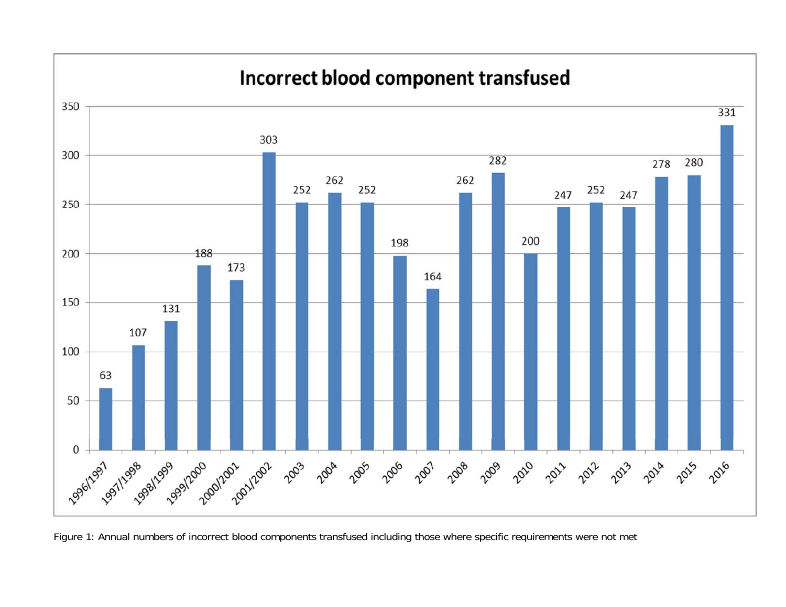

Figure 1: Annual numbers of incorrect blood components transfused including those where specific requirements were not met